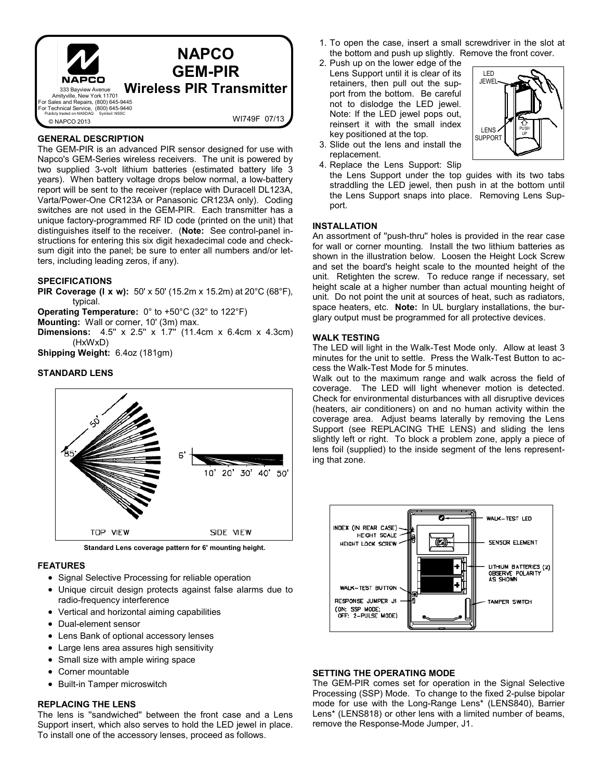

### **GENERAL DESCRIPTION**

The GEM-PIR is an advanced PIR sensor designed for use with Napco's GEM-Series wireless receivers. The unit is powered by two supplied 3-volt lithium batteries (estimated battery life 3 years). When battery voltage drops below normal, a low-battery report will be sent to the receiver (replace with Duracell DL123A, Varta/Power-One CR123A or Panasonic CR123A only). Coding switches are not used in the GEM-PIR. Each transmitter has a unique factory-programmed RF ID code (printed on the unit) that distinguishes itself to the receiver. (**Note:** See control-panel instructions for entering this six digit hexadecimal code and checksum digit into the panel; be sure to enter all numbers and/or letters, including leading zeros, if any).

## **SPECIFICATIONS**

**PIR Coverage (l x w):** 50' x 50' (15.2m x 15.2m) at 20°C (68°F), typical.

**Operating Temperature:** 0° to +50°C (32° to 122°F)

**Mounting:** Wall or corner, 10' (3m) max.

**Dimensions:** 4.5" x 2.5" x 1.7" (11.4cm x 6.4cm x 4.3cm) (HxWxD)

**Shipping Weight:** 6.4oz (181gm)

## **STANDARD LENS**



**Standard Lens coverage pattern for 6' mounting height.** 

#### **FEATURES**

- Signal Selective Processing for reliable operation
- Unique circuit design protects against false alarms due to radio-frequency interference
- Vertical and horizontal aiming capabilities
- Dual-element sensor
- Lens Bank of optional accessory lenses
- Large lens area assures high sensitivity
- Small size with ample wiring space
- Corner mountable
- Built-in Tamper microswitch

#### **REPLACING THE LENS**

The lens is ''sandwiched'' between the front case and a Lens Support insert, which also serves to hold the LED jewel in place. To install one of the accessory lenses, proceed as follows.

- 1.To open the case, insert a small screwdriver in the slot at the bottom and push up slightly. Remove the front cover.
- 2. Push up on the lower edge of the Lens Support until it is clear of its retainers, then pull out the support from the bottom. Be careful not to dislodge the LED jewel. Note: If the LED jewel pops out, reinsert it with the small index key positioned at the top.



- 3.Slide out the lens and install the replacement.
- 4.Replace the Lens Support: Slip the Lens Support under the top guides with its two tabs straddling the LED jewel, then push in at the bottom until the Lens Support snaps into place. Removing Lens Support.

#### **INSTALLATION**

An assortment of ''push-thru'' holes is provided in the rear case for wall or corner mounting. Install the two lithium batteries as shown in the illustration below. Loosen the Height Lock Screw and set the board's height scale to the mounted height of the unit. Retighten the screw. To reduce range if necessary, set height scale at a higher number than actual mounting height of unit. Do not point the unit at sources of heat, such as radiators, space heaters, etc. **Note:** In UL burglary installations, the burglary output must be programmed for all protective devices.

#### **WALK TESTING**

The LED will light in the Walk-Test Mode only. Allow at least 3 minutes for the unit to settle. Press the Walk-Test Button to access the Walk-Test Mode for 5 minutes.

Walk out to the maximum range and walk across the field of coverage. The LED will light whenever motion is detected. Check for environmental disturbances with all disruptive devices (heaters, air conditioners) on and no human activity within the coverage area. Adjust beams laterally by removing the Lens Support (see REPLACING THE LENS) and sliding the lens slightly left or right. To block a problem zone, apply a piece of lens foil (supplied) to the inside segment of the lens representing that zone.



## **SETTING THE OPERATING MODE**

The GEM-PIR comes set for operation in the Signal Selective Processing (SSP) Mode. To change to the fixed 2-pulse bipolar mode for use with the Long-Range Lens\* (LENS840), Barrier Lens\* (LENS818) or other lens with a limited number of beams, remove the Response-Mode Jumper, J1.